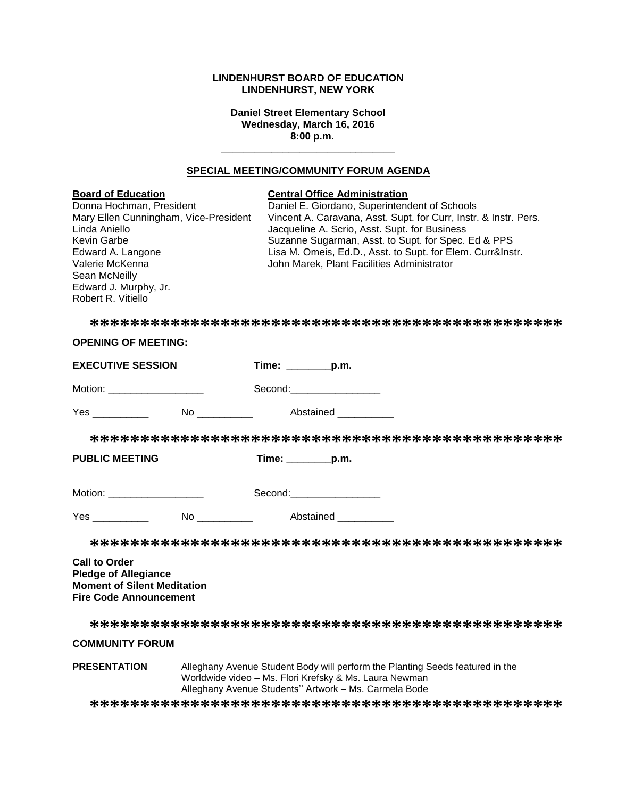## **LINDENHURST BOARD OF EDUCATION LINDENHURST, NEW YORK**

**Daniel Street Elementary School Wednesday, March 16, 2016 8:00 p.m.**

## **SPECIAL MEETING/COMMUNITY FORUM AGENDA**

**\_\_\_\_\_\_\_\_\_\_\_\_\_\_\_\_\_\_\_\_\_\_\_\_\_\_\_\_\_\_\_**

| <b>Board of Education</b><br>Donna Hochman, President<br>Mary Ellen Cunningham, Vice-President<br>Linda Aniello<br>Kevin Garbe<br>Edward A. Langone<br>Valerie McKenna<br>Sean McNeilly<br>Edward J. Murphy, Jr.<br>Robert R. Vitiello |                                                                                                                                                                                                  | <b>Central Office Administration</b><br>Daniel E. Giordano, Superintendent of Schools<br>Vincent A. Caravana, Asst. Supt. for Curr, Instr. & Instr. Pers.<br>Jacqueline A. Scrio, Asst. Supt. for Business<br>Suzanne Sugarman, Asst. to Supt. for Spec. Ed & PPS<br>Lisa M. Omeis, Ed.D., Asst. to Supt. for Elem. Curr&Instr.<br>John Marek, Plant Facilities Administrator |  |  |
|----------------------------------------------------------------------------------------------------------------------------------------------------------------------------------------------------------------------------------------|--------------------------------------------------------------------------------------------------------------------------------------------------------------------------------------------------|-------------------------------------------------------------------------------------------------------------------------------------------------------------------------------------------------------------------------------------------------------------------------------------------------------------------------------------------------------------------------------|--|--|
|                                                                                                                                                                                                                                        |                                                                                                                                                                                                  |                                                                                                                                                                                                                                                                                                                                                                               |  |  |
| <b>OPENING OF MEETING:</b>                                                                                                                                                                                                             |                                                                                                                                                                                                  |                                                                                                                                                                                                                                                                                                                                                                               |  |  |
| <b>EXECUTIVE SESSION</b>                                                                                                                                                                                                               |                                                                                                                                                                                                  | Time: _________p.m.                                                                                                                                                                                                                                                                                                                                                           |  |  |
| Motion: _____________________                                                                                                                                                                                                          |                                                                                                                                                                                                  | Second: Second:                                                                                                                                                                                                                                                                                                                                                               |  |  |
|                                                                                                                                                                                                                                        |                                                                                                                                                                                                  |                                                                                                                                                                                                                                                                                                                                                                               |  |  |
|                                                                                                                                                                                                                                        |                                                                                                                                                                                                  |                                                                                                                                                                                                                                                                                                                                                                               |  |  |
| <b>PUBLIC MEETING</b>                                                                                                                                                                                                                  |                                                                                                                                                                                                  | Time: p.m.                                                                                                                                                                                                                                                                                                                                                                    |  |  |
| Motion: ____________________                                                                                                                                                                                                           |                                                                                                                                                                                                  | Second: Second:                                                                                                                                                                                                                                                                                                                                                               |  |  |
| Yes No Abstained                                                                                                                                                                                                                       |                                                                                                                                                                                                  |                                                                                                                                                                                                                                                                                                                                                                               |  |  |
|                                                                                                                                                                                                                                        |                                                                                                                                                                                                  |                                                                                                                                                                                                                                                                                                                                                                               |  |  |
| <b>Call to Order</b><br><b>Pledge of Allegiance</b><br><b>Moment of Silent Meditation</b><br><b>Fire Code Announcement</b>                                                                                                             |                                                                                                                                                                                                  |                                                                                                                                                                                                                                                                                                                                                                               |  |  |
|                                                                                                                                                                                                                                        |                                                                                                                                                                                                  |                                                                                                                                                                                                                                                                                                                                                                               |  |  |
| <b>COMMUNITY FORUM</b>                                                                                                                                                                                                                 |                                                                                                                                                                                                  |                                                                                                                                                                                                                                                                                                                                                                               |  |  |
| <b>PRESENTATION</b>                                                                                                                                                                                                                    | Alleghany Avenue Student Body will perform the Planting Seeds featured in the<br>Worldwide video - Ms. Flori Krefsky & Ms. Laura Newman<br>Alleghany Avenue Students" Artwork - Ms. Carmela Bode |                                                                                                                                                                                                                                                                                                                                                                               |  |  |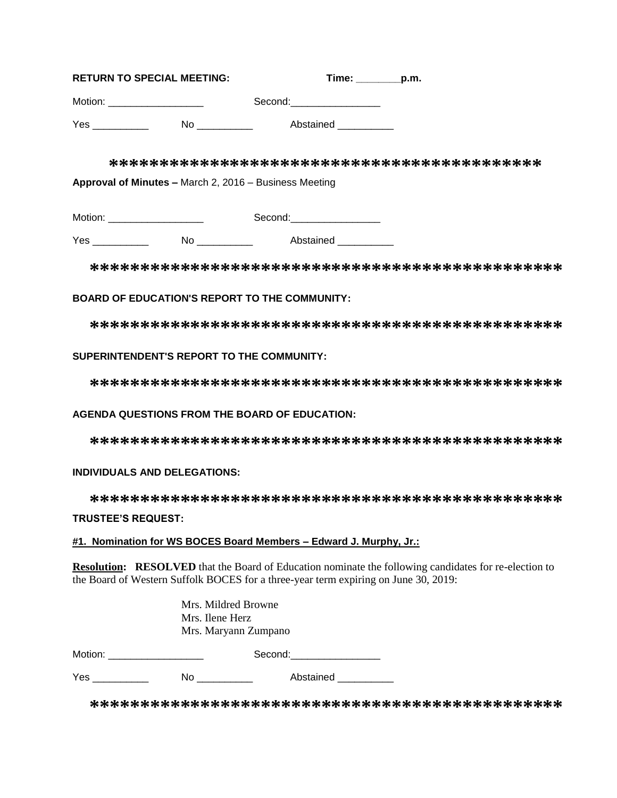| <b>RETURN TO SPECIAL MEETING:</b> |    | Time:                                                                                                                                                                                                                          | p.m. |
|-----------------------------------|----|--------------------------------------------------------------------------------------------------------------------------------------------------------------------------------------------------------------------------------|------|
| Motion:                           |    | Second: with the second of the second of the second of the second of the second of the second of the second of the second of the second of the second of the second of the second of the second of the second of the second of |      |
| Yes                               | No | Abstained                                                                                                                                                                                                                      |      |

**\*\*\*\*\*\*\*\*\*\*\*\*\*\*\*\*\*\*\*\*\*\*\*\*\*\*\*\*\*\*\*\*\*\*\*\*\*\*\*\*\*\*\***

**Approval of Minutes –** March 2, 2016 – Business Meeting

Motion: example of the second: Second:

Yes \_\_\_\_\_\_\_\_\_\_ No \_\_\_\_\_\_\_\_\_\_ Abstained \_\_\_\_\_\_\_\_\_\_

**\*\*\*\*\*\*\*\*\*\*\*\*\*\*\*\*\*\*\*\*\*\*\*\*\*\*\*\*\*\*\*\*\*\*\*\*\*\*\*\*\*\*\*\*\*\*\***

# **BOARD OF EDUCATION'S REPORT TO THE COMMUNITY:**

**\*\*\*\*\*\*\*\*\*\*\*\*\*\*\*\*\*\*\*\*\*\*\*\*\*\*\*\*\*\*\*\*\*\*\*\*\*\*\*\*\*\*\*\*\*\*\***

# **SUPERINTENDENT'S REPORT TO THE COMMUNITY:**

**\*\*\*\*\*\*\*\*\*\*\*\*\*\*\*\*\*\*\*\*\*\*\*\*\*\*\*\*\*\*\*\*\*\*\*\*\*\*\*\*\*\*\*\*\*\*\***

# **AGENDA QUESTIONS FROM THE BOARD OF EDUCATION:**

**\*\*\*\*\*\*\*\*\*\*\*\*\*\*\*\*\*\*\*\*\*\*\*\*\*\*\*\*\*\*\*\*\*\*\*\*\*\*\*\*\*\*\*\*\*\*\***

# **INDIVIDUALS AND DELEGATIONS:**

**\*\*\*\*\*\*\*\*\*\*\*\*\*\*\*\*\*\*\*\*\*\*\*\*\*\*\*\*\*\*\*\*\*\*\*\*\*\*\*\*\*\*\*\*\*\*\***

# **TRUSTEE'S REQUEST:**

# **#1. Nomination for WS BOCES Board Members – Edward J. Murphy, Jr.:**

**Resolution: RESOLVED** that the Board of Education nominate the following candidates for re-election to the Board of Western Suffolk BOCES for a three-year term expiring on June 30, 2019:

|                           | Mrs. Mildred Browne<br>Mrs. Ilene Herz<br>Mrs. Maryann Zumpano |                 |
|---------------------------|----------------------------------------------------------------|-----------------|
| Motion: _________________ |                                                                | Second: Second: |
| Yes                       | No                                                             | Abstained       |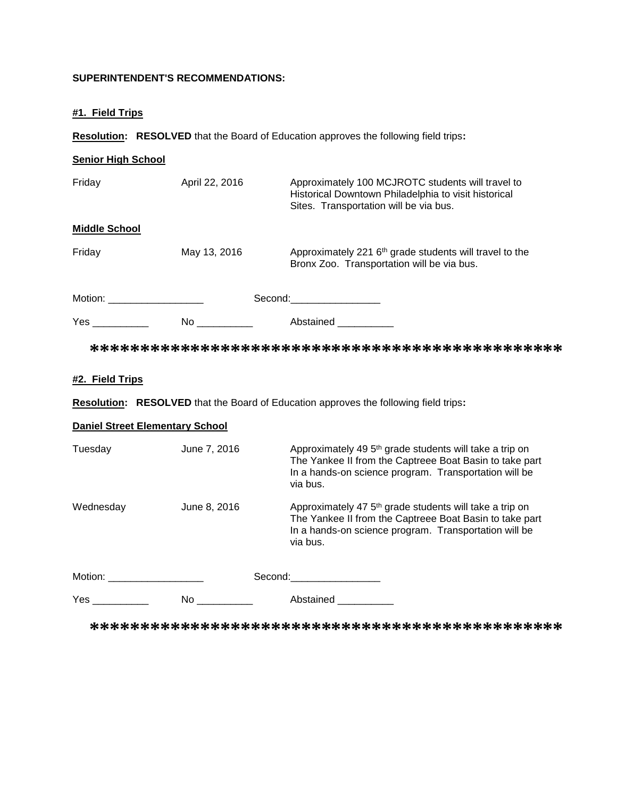# **SUPERINTENDENT'S RECOMMENDATIONS:**

# **#1. Field Trips**

**Resolution: RESOLVED** that the Board of Education approves the following field trips**:**

| <b>Senior High School</b>    |                |                                                                                                                                                     |
|------------------------------|----------------|-----------------------------------------------------------------------------------------------------------------------------------------------------|
| Friday                       | April 22, 2016 | Approximately 100 MCJROTC students will travel to<br>Historical Downtown Philadelphia to visit historical<br>Sites. Transportation will be via bus. |
| <b>Middle School</b>         |                |                                                                                                                                                     |
| Friday                       | May 13, 2016   | Approximately 221 6 <sup>th</sup> grade students will travel to the<br>Bronx Zoo. Transportation will be via bus.                                   |
| Motion: ____________________ |                | Second: Second:                                                                                                                                     |
|                              |                | Abstained ___________                                                                                                                               |
|                              |                |                                                                                                                                                     |
| #2. Field Trips              |                |                                                                                                                                                     |

**Resolution: RESOLVED** that the Board of Education approves the following field trips**:**

|  | <b>Daniel Street Elementary School</b> |  |
|--|----------------------------------------|--|
|  |                                        |  |

| Tuesday           | June 7, 2016 | Approximately 49 5 <sup>th</sup> grade students will take a trip on<br>The Yankee II from the Captreee Boat Basin to take part<br>In a hands-on science program. Transportation will be<br>via bus.                            |
|-------------------|--------------|--------------------------------------------------------------------------------------------------------------------------------------------------------------------------------------------------------------------------------|
| Wednesday         | June 8, 2016 | Approximately 47 5 <sup>th</sup> grade students will take a trip on<br>The Yankee II from the Captreee Boat Basin to take part<br>In a hands-on science program. Transportation will be<br>via bus.                            |
| Motion: _________ |              | Second: the contract of the contract of the contract of the contract of the contract of the contract of the contract of the contract of the contract of the contract of the contract of the contract of the contract of the co |
|                   | No.          | Abstained                                                                                                                                                                                                                      |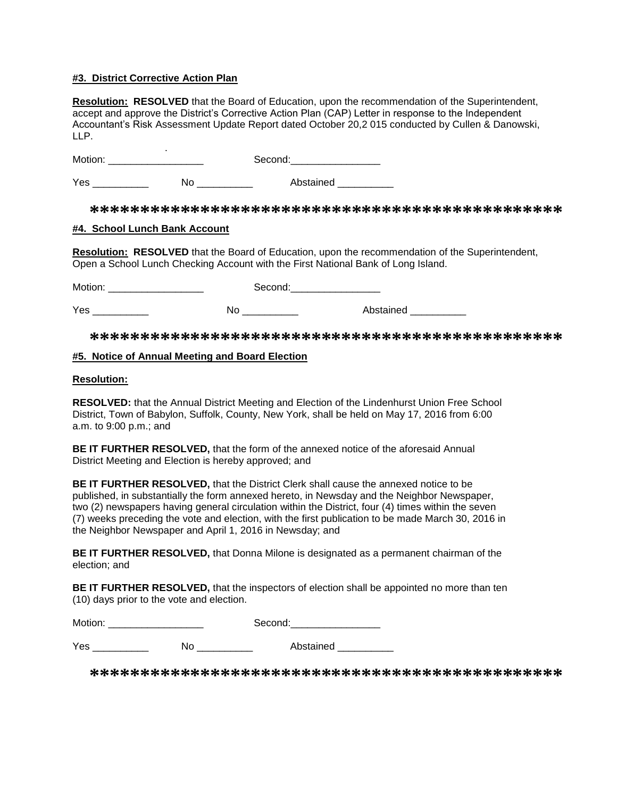## **#3. District Corrective Action Plan**

**Resolution: RESOLVED** that the Board of Education, upon the recommendation of the Superintendent, accept and approve the District's Corrective Action Plan (CAP) Letter in response to the Independent Accountant's Risk Assessment Update Report dated October 20,2 015 conducted by Cullen & Danowski, LLP.

Motion: \_\_\_\_\_\_ Motion: \_\_\_\_\_\_\_\_\_\_\_\_\_\_\_\_\_ Second:\_\_\_\_\_\_\_\_\_\_\_\_\_\_\_\_

Yes \_\_\_\_\_\_\_\_\_\_\_\_ No \_\_\_\_\_\_\_\_ Abstained \_\_\_\_\_\_\_

**\*\*\*\*\*\*\*\*\*\*\*\*\*\*\*\*\*\*\*\*\*\*\*\*\*\*\*\*\*\*\*\*\*\*\*\*\*\*\*\*\*\*\*\*\*\*\***

#### **#4. School Lunch Bank Account**

**Resolution: RESOLVED** that the Board of Education, upon the recommendation of the Superintendent, Open a School Lunch Checking Account with the First National Bank of Long Island.

Motion: \_\_\_\_\_\_\_\_\_\_\_\_\_\_\_\_\_ Second:\_\_\_\_\_\_\_\_\_\_\_\_\_\_\_\_

Yes \_\_\_\_\_\_\_\_\_\_\_\_\_\_\_ No \_\_\_\_\_\_\_\_\_\_\_ Abstained \_\_\_\_\_\_\_\_\_\_

**\*\*\*\*\*\*\*\*\*\*\*\*\*\*\*\*\*\*\*\*\*\*\*\*\*\*\*\*\*\*\*\*\*\*\*\*\*\*\*\*\*\*\*\*\*\*\***

#### **#5. Notice of Annual Meeting and Board Election**

#### **Resolution:**

**RESOLVED:** that the Annual District Meeting and Election of the Lindenhurst Union Free School District, Town of Babylon, Suffolk, County, New York, shall be held on May 17, 2016 from 6:00 a.m. to 9:00 p.m.; and

**BE IT FURTHER RESOLVED,** that the form of the annexed notice of the aforesaid Annual District Meeting and Election is hereby approved; and

**BE IT FURTHER RESOLVED,** that the District Clerk shall cause the annexed notice to be published, in substantially the form annexed hereto, in Newsday and the Neighbor Newspaper, two (2) newspapers having general circulation within the District, four (4) times within the seven (7) weeks preceding the vote and election, with the first publication to be made March 30, 2016 in the Neighbor Newspaper and April 1, 2016 in Newsday; and

**BE IT FURTHER RESOLVED,** that Donna Milone is designated as a permanent chairman of the election; and

**BE IT FURTHER RESOLVED,** that the inspectors of election shall be appointed no more than ten (10) days prior to the vote and election.

| Motion: |    | Second:   |
|---------|----|-----------|
| Yes     | No | Abstained |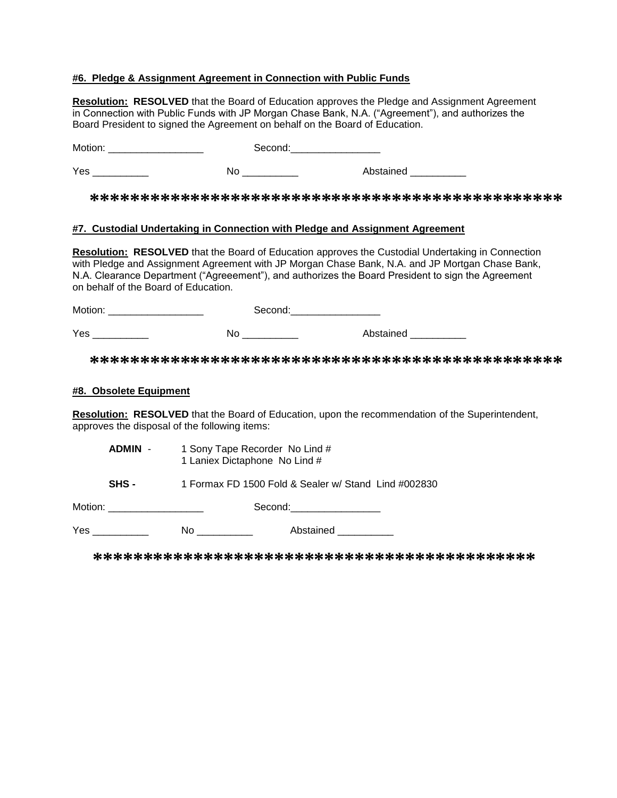## **#6. Pledge & Assignment Agreement in Connection with Public Funds**

**Resolution: RESOLVED** that the Board of Education approves the Pledge and Assignment Agreement in Connection with Public Funds with JP Morgan Chase Bank, N.A. ("Agreement"), and authorizes the Board President to signed the Agreement on behalf on the Board of Education. Motion: \_\_\_\_\_\_\_\_\_\_\_\_\_\_\_\_\_ Second:\_\_\_\_\_\_\_\_\_\_\_\_\_\_\_\_ Yes \_\_\_\_\_\_\_\_\_\_\_\_\_ No \_\_\_\_\_\_\_\_\_\_ Abstained \_\_\_\_\_\_\_\_\_ **\*\*\*\*\*\*\*\*\*\*\*\*\*\*\*\*\*\*\*\*\*\*\*\*\*\*\*\*\*\*\*\*\*\*\*\*\*\*\*\*\*\*\*\*\*\*\* #7. Custodial Undertaking in Connection with Pledge and Assignment Agreement Resolution: RESOLVED** that the Board of Education approves the Custodial Undertaking in Connection with Pledge and Assignment Agreement with JP Morgan Chase Bank, N.A. and JP Mortgan Chase Bank, N.A. Clearance Department ("Agreeement"), and authorizes the Board President to sign the Agreement on behalf of the Board of Education. Motion: \_\_\_\_\_\_\_\_\_\_\_\_\_\_\_\_\_ Second:\_\_\_\_\_\_\_\_\_\_\_\_\_\_\_\_ Yes \_\_\_\_\_\_\_\_\_\_\_\_\_\_ No \_\_\_\_\_\_\_\_\_ Abstained \_\_\_\_\_\_\_ **\*\*\*\*\*\*\*\*\*\*\*\*\*\*\*\*\*\*\*\*\*\*\*\*\*\*\*\*\*\*\*\*\*\*\*\*\*\*\*\*\*\*\*\*\*\*\* #8. Obsolete Equipment Resolution: RESOLVED** that the Board of Education, upon the recommendation of the Superintendent, approves the disposal of the following items: **ADMIN** - 1 Sony Tape Recorder No Lind # 1 Laniex Dictaphone No Lind # **SHS -** 1 Formax FD 1500 Fold & Sealer w/ Stand Lind #002830 Motion: example of the second: Second:  $\sim$  Second: Yes \_\_\_\_\_\_\_\_\_\_\_\_ No \_\_\_\_\_\_\_\_ Abstained \_\_\_\_\_\_\_\_\_  **\*\*\*\*\*\*\*\*\*\*\*\*\*\*\*\*\*\*\*\*\*\*\*\*\*\*\*\*\*\*\*\*\*\*\*\*\*\*\*\*\*\*\*\***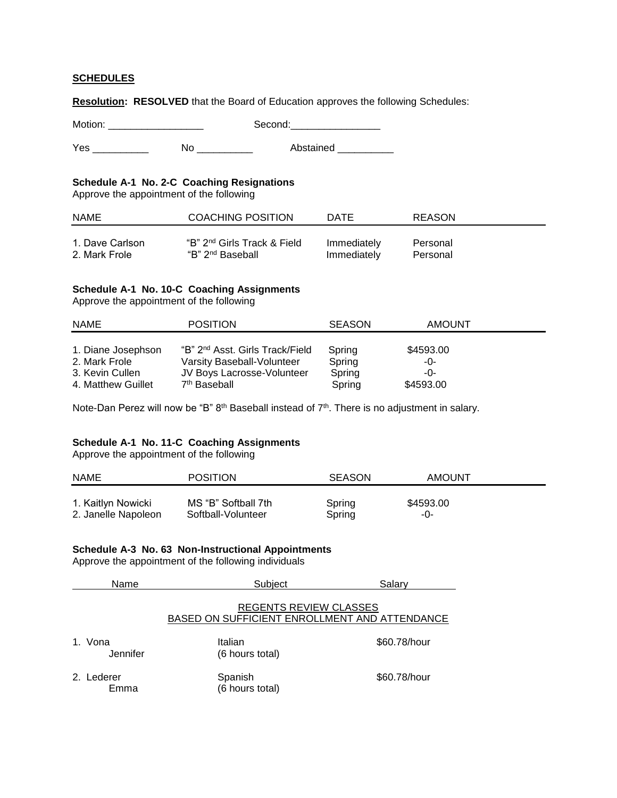### **SCHEDULES**

**Resolution: RESOLVED** that the Board of Education approves the following Schedules:

Motion: \_\_\_\_\_\_\_\_\_\_\_\_\_\_\_\_\_ Second:\_\_\_\_\_\_\_\_\_\_\_\_\_\_\_\_

Yes \_\_\_\_\_\_\_\_\_\_\_\_ No \_\_\_\_\_\_\_\_\_ Abstained \_\_\_\_\_\_\_\_\_

# **Schedule A-1 No. 2-C Coaching Resignations**

Approve the appointment of the following

| <b>NAME</b>     | COACHING POSITION                       | DATE        | REASON   |
|-----------------|-----------------------------------------|-------------|----------|
| 1. Dave Carlson | "B" 2 <sup>nd</sup> Girls Track & Field | Immediately | Personal |
| 2. Mark Frole   | "B" 2 <sup>nd</sup> Baseball            | Immediately | Personal |

# **Schedule A-1 No. 10-C Coaching Assignments**

Approve the appointment of the following

| <b>NAME</b>        | <b>POSITION</b>                             | <b>SEASON</b> | <b>AMOUNT</b> |  |
|--------------------|---------------------------------------------|---------------|---------------|--|
|                    |                                             |               |               |  |
| 1. Diane Josephson | "B" 2 <sup>nd</sup> Asst. Girls Track/Field | Spring        | \$4593.00     |  |
| 2. Mark Frole      | Varsity Baseball-Volunteer                  | Spring        | -0-           |  |
| 3. Kevin Cullen    | JV Boys Lacrosse-Volunteer                  | Spring        | -0-           |  |
| 4. Matthew Guillet | 7 <sup>th</sup> Baseball                    | Spring        | \$4593.00     |  |

Note-Dan Perez will now be "B" 8<sup>th</sup> Baseball instead of 7<sup>th</sup>. There is no adjustment in salary.

#### **Schedule A-1 No. 11-C Coaching Assignments**

Approve the appointment of the following

| <b>NAME</b>         | <b>POSITION</b>     | <b>SEASON</b> | AMOUNT    |
|---------------------|---------------------|---------------|-----------|
| 1. Kaitlyn Nowicki  | MS "B" Softball 7th | Spring        | \$4593.00 |
| 2. Janelle Napoleon | Softball-Volunteer  | Spring        | -0-       |

# **Schedule A-3 No. 63 Non-Instructional Appointments**

Approve the appointment of the following individuals

| Name                | Subject                                                                        | Salarv       |
|---------------------|--------------------------------------------------------------------------------|--------------|
|                     | <b>REGENTS REVIEW CLASSES</b><br>BASED ON SUFFICIENT ENROLLMENT AND ATTENDANCE |              |
| 1. Vona<br>Jennifer | Italian<br>(6 hours total)                                                     | \$60.78/hour |
| 2. Lederer<br>Emma  | Spanish<br>(6 hours total)                                                     | \$60.78/hour |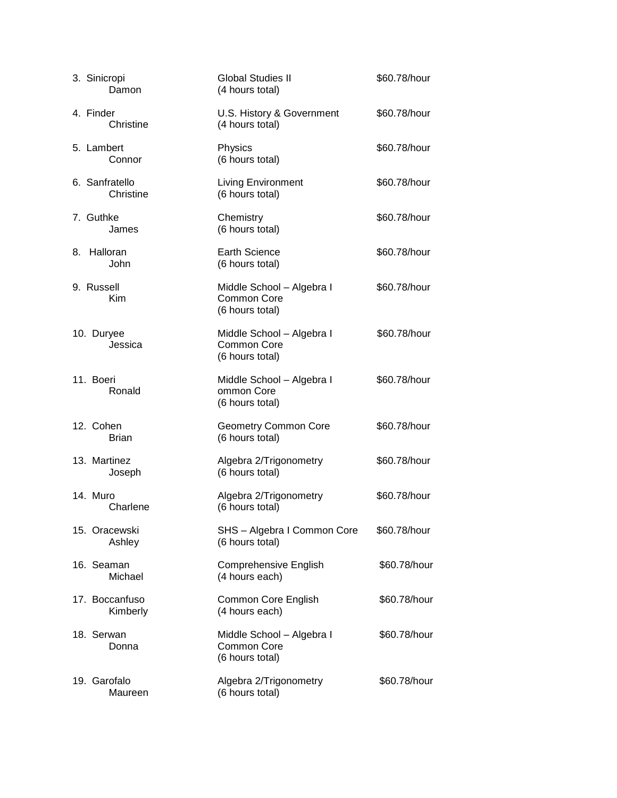| 3. Sinicropi<br>Damon       | <b>Global Studies II</b><br>(4 hours total)                        | \$60.78/hour |
|-----------------------------|--------------------------------------------------------------------|--------------|
| 4. Finder<br>Christine      | U.S. History & Government<br>(4 hours total)                       | \$60.78/hour |
| 5. Lambert<br>Connor        | Physics<br>(6 hours total)                                         | \$60.78/hour |
| 6. Sanfratello<br>Christine | <b>Living Environment</b><br>(6 hours total)                       | \$60.78/hour |
| 7. Guthke<br>James          | Chemistry<br>(6 hours total)                                       | \$60.78/hour |
| 8. Halloran<br>John         | <b>Earth Science</b><br>(6 hours total)                            | \$60.78/hour |
| 9. Russell<br>Kim           | Middle School - Algebra I<br><b>Common Core</b><br>(6 hours total) | \$60.78/hour |
| 10. Duryee<br>Jessica       | Middle School - Algebra I<br><b>Common Core</b><br>(6 hours total) | \$60.78/hour |
| 11. Boeri<br>Ronald         | Middle School - Algebra I<br>ommon Core<br>(6 hours total)         | \$60.78/hour |
| 12. Cohen<br><b>Brian</b>   | <b>Geometry Common Core</b><br>(6 hours total)                     | \$60.78/hour |
| 13. Martinez<br>Joseph      | Algebra 2/Trigonometry<br>(6 hours total)                          | \$60.78/hour |
| 14. Muro<br>Charlene        | Algebra 2/Trigonometry<br>(6 hours total)                          | \$60.78/hour |
| 15. Oracewski<br>Ashley     | SHS - Algebra I Common Core<br>(6 hours total)                     | \$60.78/hour |
| 16. Seaman<br>Michael       | Comprehensive English<br>(4 hours each)                            | \$60.78/hour |
| 17. Boccanfuso<br>Kimberly  | Common Core English<br>(4 hours each)                              | \$60.78/hour |
| 18. Serwan<br>Donna         | Middle School - Algebra I<br><b>Common Core</b><br>(6 hours total) | \$60.78/hour |
| 19. Garofalo<br>Maureen     | Algebra 2/Trigonometry<br>(6 hours total)                          | \$60.78/hour |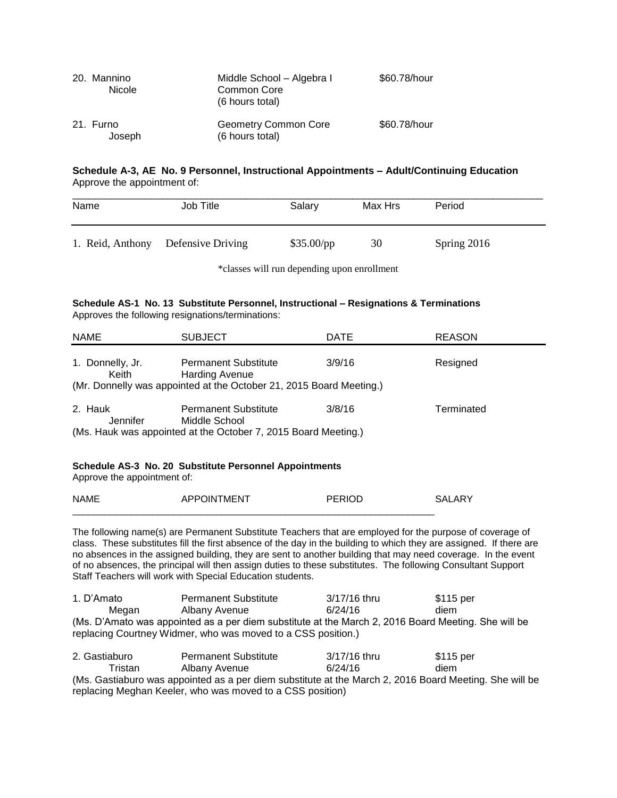| 20. Mannino<br><b>Nicole</b> | Middle School - Algebra I<br>Common Core<br>(6 hours total) | \$60.78/hour |
|------------------------------|-------------------------------------------------------------|--------------|
| 21. Furno<br>Joseph          | <b>Geometry Common Core</b><br>(6 hours total)              | \$60.78/hour |

#### **Schedule A-3, AE No. 9 Personnel, Instructional Appointments – Adult/Continuing Education** Approve the appointment of:

| Name             | Job Title         | Salary       | Max Hrs | Period      |  |
|------------------|-------------------|--------------|---------|-------------|--|
| 1. Reid, Anthony | Defensive Driving | $$35.00$ /pp | 30      | Spring 2016 |  |

\*classes will run depending upon enrollment

#### **Schedule AS-1 No. 13 Substitute Personnel, Instructional – Resignations & Terminations** Approves the following resignations/terminations:

| <b>NAME</b>                                                                           | <b>SUBJECT</b>                                                                                                 | DATE          | <b>REASON</b> |  |  |  |
|---------------------------------------------------------------------------------------|----------------------------------------------------------------------------------------------------------------|---------------|---------------|--|--|--|
| 1. Donnelly, Jr.<br>Keith                                                             | <b>Permanent Substitute</b><br><b>Harding Avenue</b>                                                           | 3/9/16        | Resigned      |  |  |  |
|                                                                                       | (Mr. Donnelly was appointed at the October 21, 2015 Board Meeting.)                                            |               |               |  |  |  |
| 2. Hauk<br>Jennifer                                                                   | <b>Permanent Substitute</b><br>Middle School<br>(Ms. Hauk was appointed at the October 7, 2015 Board Meeting.) | 3/8/16        | Terminated    |  |  |  |
| Schedule AS-3 No. 20 Substitute Personnel Appointments<br>Approve the appointment of: |                                                                                                                |               |               |  |  |  |
| <b>NAME</b>                                                                           | <b>APPOINTMENT</b>                                                                                             | <b>PERIOD</b> | SALARY        |  |  |  |

The following name(s) are Permanent Substitute Teachers that are employed for the purpose of coverage of class. These substitutes fill the first absence of the day in the building to which they are assigned. If there are no absences in the assigned building, they are sent to another building that may need coverage. In the event of no absences, the principal will then assign duties to these substitutes. The following Consultant Support Staff Teachers will work with Special Education students.

\_\_\_\_\_\_\_\_\_\_\_\_\_\_\_\_\_\_\_\_\_\_\_\_\_\_\_\_\_\_\_\_\_\_\_\_\_\_\_\_\_\_\_\_\_\_\_\_\_\_\_\_\_\_\_\_\_\_\_\_\_\_\_\_\_\_\_\_

1. D'Amato Permanent Substitute 3/17/16 thru \$115 per Megan Albany Avenue 6/24/16 diem (Ms. D'Amato was appointed as a per diem substitute at the March 2, 2016 Board Meeting. She will be replacing Courtney Widmer, who was moved to a CSS position.)

| 2. Gastiaburo                                                                                          | <b>Permanent Substitute</b> | $3/17/16$ thru | \$115 per |  |  |  |
|--------------------------------------------------------------------------------------------------------|-----------------------------|----------------|-----------|--|--|--|
| Tristan                                                                                                | Albany Avenue               | 6/24/16        | diem      |  |  |  |
| (Ms. Gastiaburo was appointed as a per diem substitute at the March 2, 2016 Board Meeting. She will be |                             |                |           |  |  |  |
| replacing Meghan Keeler, who was moved to a CSS position)                                              |                             |                |           |  |  |  |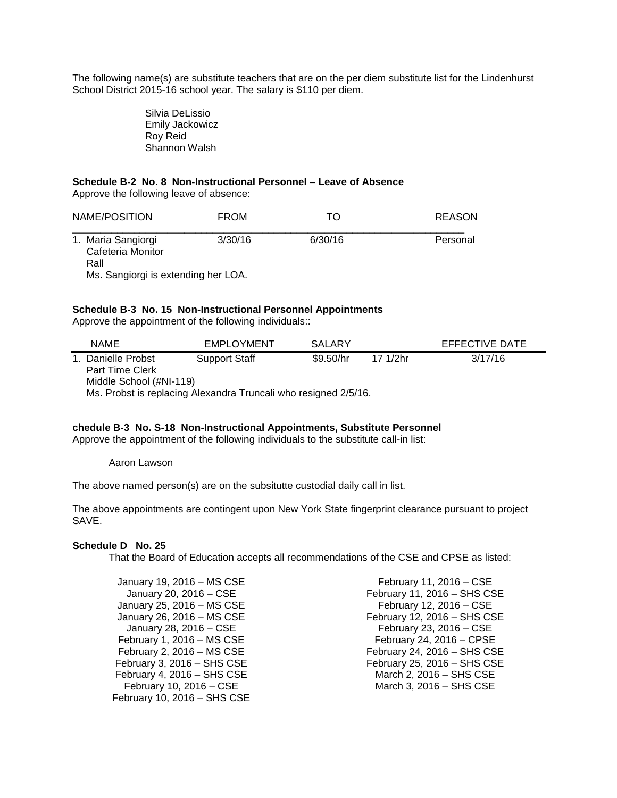The following name(s) are substitute teachers that are on the per diem substitute list for the Lindenhurst School District 2015-16 school year. The salary is \$110 per diem.

> Silvia DeLissio Emily Jackowicz Roy Reid Shannon Walsh

# **Schedule B-2 No. 8 Non-Instructional Personnel – Leave of Absence**

Approve the following leave of absence:

| NAME/POSITION                                   | <b>FROM</b> | TΟ      | REASON   |
|-------------------------------------------------|-------------|---------|----------|
| 1. Maria Sangiorgi<br>Cafeteria Monitor<br>Rall | 3/30/16     | 6/30/16 | Personal |
| Ms. Sangiorgi is extending her LOA.             |             |         |          |

#### **Schedule B-3 No. 15 Non-Instructional Personnel Appointments**

Approve the appointment of the following individuals::

| <b>NAME</b>                                                     | <b>EMPLOYMENT</b>    | SALARY    |          | EFFECTIVE DATE |  |  |
|-----------------------------------------------------------------|----------------------|-----------|----------|----------------|--|--|
| 1. Danielle Probst                                              | <b>Support Staff</b> | \$9.50/hr | 17 1/2hr | 3/17/16        |  |  |
| <b>Part Time Clerk</b><br>Middle School (#NI-119)               |                      |           |          |                |  |  |
| Ms. Probst is replacing Alexandra Truncali who resigned 2/5/16. |                      |           |          |                |  |  |

#### **chedule B-3 No. S-18 Non-Instructional Appointments, Substitute Personnel**

Approve the appointment of the following individuals to the substitute call-in list:

Aaron Lawson

The above named person(s) are on the subsitutte custodial daily call in list.

The above appointments are contingent upon New York State fingerprint clearance pursuant to project SAVE.

#### **Schedule D No. 25**

That the Board of Education accepts all recommendations of the CSE and CPSE as listed:

January 19, 2016 – MS CSE January 20, 2016 – CSE January 25, 2016 – MS CSE January 26, 2016 – MS CSE January 28, 2016 – CSE February 1, 2016 – MS CSE February 2, 2016 – MS CSE February 3, 2016 – SHS CSE February 4, 2016 – SHS CSE February 10, 2016 – CSE February 10, 2016 – SHS CSE

February 11, 2016 – CSE February 11, 2016 – SHS CSE February 12, 2016 – CSE February 12, 2016 – SHS CSE February 23, 2016 – CSE February 24, 2016 – CPSE February 24, 2016 – SHS CSE February 25, 2016 – SHS CSE March 2, 2016 – SHS CSE March 3, 2016 – SHS CSE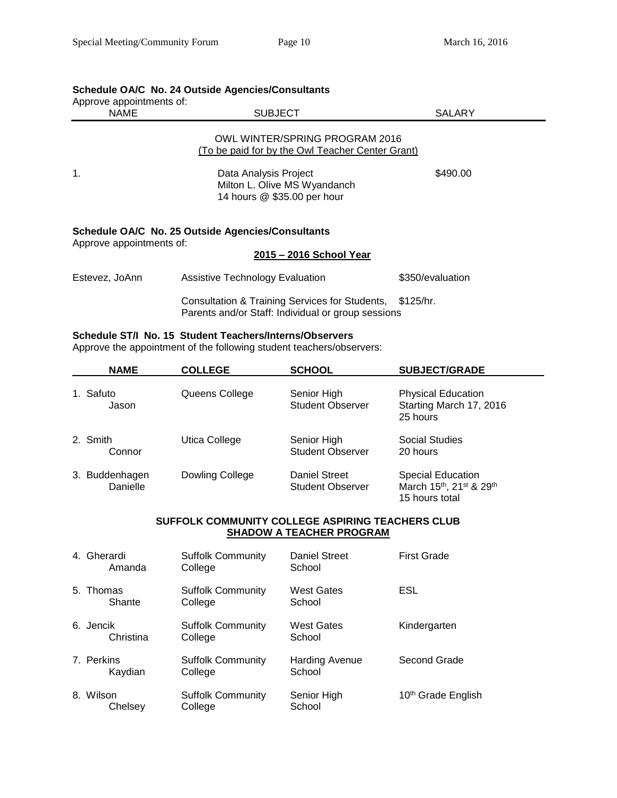# **Schedule OA/C No. 24 Outside Agencies/Consultants**

| Approve appointments of:<br><b>NAME</b> | <b>SUBJECT</b>                                                                                                 |                  |  |  |
|-----------------------------------------|----------------------------------------------------------------------------------------------------------------|------------------|--|--|
|                                         | OWL WINTER/SPRING PROGRAM 2016<br>(To be paid for by the Owl Teacher Center Grant)                             |                  |  |  |
| $\mathbf 1$ .                           | Data Analysis Project<br>Milton L. Olive MS Wyandanch<br>14 hours @ \$35.00 per hour                           | \$490.00         |  |  |
| Approve appointments of:                | <b>Schedule OA/C No. 25 Outside Agencies/Consultants</b><br>2015 - 2016 School Year                            |                  |  |  |
| Estevez, JoAnn                          | <b>Assistive Technology Evaluation</b>                                                                         | \$350/evaluation |  |  |
|                                         | Consultation & Training Services for Students, \$125/hr.<br>Parents and/or Staff: Individual or group sessions |                  |  |  |

# **Schedule ST/I No. 15 Student Teachers/Interns/Observers**

Approve the appointment of the following student teachers/observers:

| <b>NAME</b>                | <b>COLLEGE</b>  | <b>SCHOOL</b>                            | <b>SUBJECT/GRADE</b>                                                  |  |
|----------------------------|-----------------|------------------------------------------|-----------------------------------------------------------------------|--|
| 1. Safuto<br>Jason         | Queens College  | Senior High<br><b>Student Observer</b>   | <b>Physical Education</b><br>Starting March 17, 2016<br>25 hours      |  |
| 2. Smith<br>Connor         | Utica College   | Senior High<br><b>Student Observer</b>   | Social Studies<br>20 hours                                            |  |
| 3. Buddenhagen<br>Danielle | Dowling College | Daniel Street<br><b>Student Observer</b> | <b>Special Education</b><br>March 15th, 21st & 29th<br>15 hours total |  |

## **SUFFOLK COMMUNITY COLLEGE ASPIRING TEACHERS CLUB SHADOW A TEACHER PROGRAM**

| 4. Gherardi<br>Amanda  | <b>Suffolk Community</b><br>College | <b>Daniel Street</b><br>School  | <b>First Grade</b>             |
|------------------------|-------------------------------------|---------------------------------|--------------------------------|
| 5. Thomas<br>Shante    | <b>Suffolk Community</b><br>College | <b>West Gates</b><br>School     | ESL                            |
| 6. Jencik<br>Christina | <b>Suffolk Community</b><br>College | <b>West Gates</b><br>School     | Kindergarten                   |
| 7. Perkins<br>Kaydian  | <b>Suffolk Community</b><br>College | <b>Harding Avenue</b><br>School | Second Grade                   |
| 8. Wilson<br>Chelsev   | <b>Suffolk Community</b><br>College | Senior High<br>School           | 10 <sup>th</sup> Grade English |